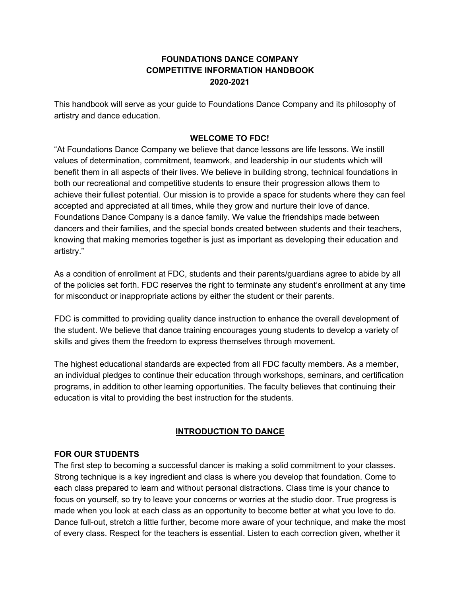## **FOUNDATIONS DANCE COMPANY COMPETITIVE INFORMATION HANDBOOK 2020-2021**

This handbook will serve as your guide to Foundations Dance Company and its philosophy of artistry and dance education.

## **WELCOME TO FDC!**

"At Foundations Dance Company we believe that dance lessons are life lessons. We instill values of determination, commitment, teamwork, and leadership in our students which will benefit them in all aspects of their lives. We believe in building strong, technical foundations in both our recreational and competitive students to ensure their progression allows them to achieve their fullest potential. Our mission is to provide a space for students where they can feel accepted and appreciated at all times, while they grow and nurture their love of dance. Foundations Dance Company is a dance family. We value the friendships made between dancers and their families, and the special bonds created between students and their teachers, knowing that making memories together is just as important as developing their education and artistry."

As a condition of enrollment at FDC, students and their parents/guardians agree to abide by all of the policies set forth. FDC reserves the right to terminate any student's enrollment at any time for misconduct or inappropriate actions by either the student or their parents.

FDC is committed to providing quality dance instruction to enhance the overall development of the student. We believe that dance training encourages young students to develop a variety of skills and gives them the freedom to express themselves through movement.

The highest educational standards are expected from all FDC faculty members. As a member, an individual pledges to continue their education through workshops, seminars, and certification programs, in addition to other learning opportunities. The faculty believes that continuing their education is vital to providing the best instruction for the students.

# **INTRODUCTION TO DANCE**

### **FOR OUR STUDENTS**

The first step to becoming a successful dancer is making a solid commitment to your classes. Strong technique is a key ingredient and class is where you develop that foundation. Come to each class prepared to learn and without personal distractions. Class time is your chance to focus on yourself, so try to leave your concerns or worries at the studio door. True progress is made when you look at each class as an opportunity to become better at what you love to do. Dance full-out, stretch a little further, become more aware of your technique, and make the most of every class. Respect for the teachers is essential. Listen to each correction given, whether it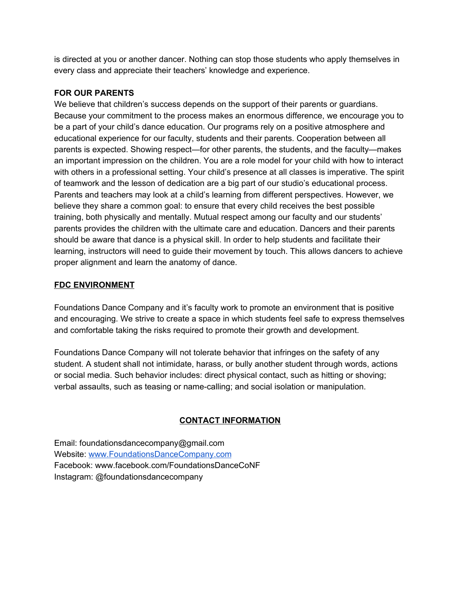is directed at you or another dancer. Nothing can stop those students who apply themselves in every class and appreciate their teachers' knowledge and experience.

## **FOR OUR PARENTS**

We believe that children's success depends on the support of their parents or quardians. Because your commitment to the process makes an enormous difference, we encourage you to be a part of your child's dance education. Our programs rely on a positive atmosphere and educational experience for our faculty, students and their parents. Cooperation between all parents is expected. Showing respect—for other parents, the students, and the faculty—makes an important impression on the children. You are a role model for your child with how to interact with others in a professional setting. Your child's presence at all classes is imperative. The spirit of teamwork and the lesson of dedication are a big part of our studio's educational process. Parents and teachers may look at a child's learning from different perspectives. However, we believe they share a common goal: to ensure that every child receives the best possible training, both physically and mentally. Mutual respect among our faculty and our students' parents provides the children with the ultimate care and education. Dancers and their parents should be aware that dance is a physical skill. In order to help students and facilitate their learning, instructors will need to guide their movement by touch. This allows dancers to achieve proper alignment and learn the anatomy of dance.

## **FDC ENVIRONMENT**

Foundations Dance Company and it's faculty work to promote an environment that is positive and encouraging. We strive to create a space in which students feel safe to express themselves and comfortable taking the risks required to promote their growth and development.

Foundations Dance Company will not tolerate behavior that infringes on the safety of any student. A student shall not intimidate, harass, or bully another student through words, actions or social media. Such behavior includes: direct physical contact, such as hitting or shoving; verbal assaults, such as teasing or name-calling; and social isolation or manipulation.

# **CONTACT INFORMATION**

Email: foundationsdancecompany@gmail.com Website: [www.FoundationsDanceCompany.com](http://www.foundationsdancecompany.com/) Facebook: www.facebook.com/FoundationsDanceCoNF Instagram: @foundationsdancecompany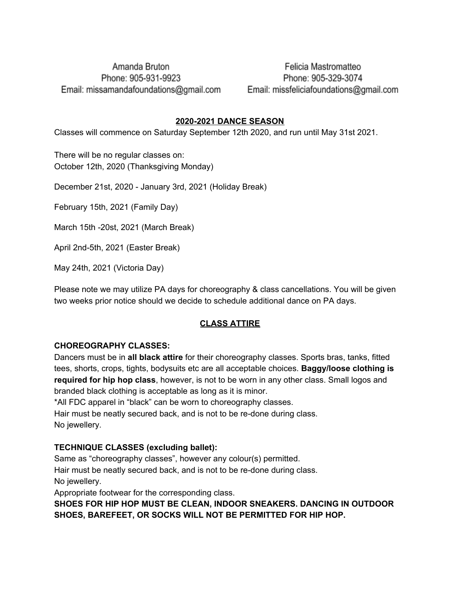# Amanda Bruton Phone: 905-931-9923 Email: missamandafoundations@gmail.com

Felicia Mastromatteo Phone: 905-329-3074 Email: missfeliciafoundations@gmail.com

### **2020-2021 DANCE SEASON**

Classes will commence on Saturday September 12th 2020, and run until May 31st 2021.

There will be no regular classes on: October 12th, 2020 (Thanksgiving Monday)

December 21st, 2020 - January 3rd, 2021 (Holiday Break)

February 15th, 2021 (Family Day)

March 15th -20st, 2021 (March Break)

April 2nd-5th, 2021 (Easter Break)

May 24th, 2021 (Victoria Day)

Please note we may utilize PA days for choreography & class cancellations. You will be given two weeks prior notice should we decide to schedule additional dance on PA days.

#### **CLASS ATTIRE**

### **CHOREOGRAPHY CLASSES:**

Dancers must be in **all black attire** for their choreography classes. Sports bras, tanks, fitted tees, shorts, crops, tights, bodysuits etc are all acceptable choices. **Baggy/loose clothing is required for hip hop class**, however, is not to be worn in any other class. Small logos and branded black clothing is acceptable as long as it is minor.

\*All FDC apparel in "black" can be worn to choreography classes.

Hair must be neatly secured back, and is not to be re-done during class. No jewellery.

### **TECHNIQUE CLASSES (excluding ballet):**

Same as "choreography classes", however any colour(s) permitted. Hair must be neatly secured back, and is not to be re-done during class. No jewellery.

Appropriate footwear for the corresponding class.

**SHOES FOR HIP HOP MUST BE CLEAN, INDOOR SNEAKERS. DANCING IN OUTDOOR SHOES, BAREFEET, OR SOCKS WILL NOT BE PERMITTED FOR HIP HOP.**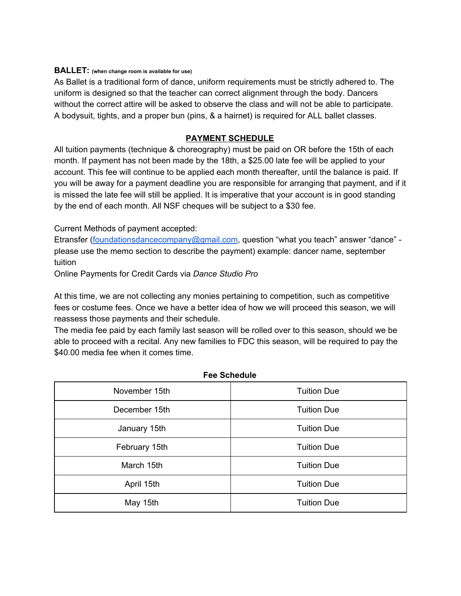#### **BALLET: (when change room is available for use)**

As Ballet is a traditional form of dance, uniform requirements must be strictly adhered to. The uniform is designed so that the teacher can correct alignment through the body. Dancers without the correct attire will be asked to observe the class and will not be able to participate. A bodysuit, tights, and a proper bun (pins, & a hairnet) is required for ALL ballet classes.

#### **PAYMENT SCHEDULE**

All tuition payments (technique & choreography) must be paid on OR before the 15th of each month. If payment has not been made by the 18th, a \$25.00 late fee will be applied to your account. This fee will continue to be applied each month thereafter, until the balance is paid. If you will be away for a payment deadline you are responsible for arranging that payment, and if it is missed the late fee will still be applied. It is imperative that your account is in good standing by the end of each month. All NSF cheques will be subject to a \$30 fee.

Current Methods of payment accepted:

Etransfer [\(foundationsdancecompany@gmail.com,](mailto:foundationsdancecompany@gmail.com) question "what you teach" answer "dance" please use the memo section to describe the payment) example: dancer name, september tuition

Online Payments for Credit Cards via *Dance Studio Pro*

At this time, we are not collecting any monies pertaining to competition, such as competitive fees or costume fees. Once we have a better idea of how we will proceed this season, we will reassess those payments and their schedule.

The media fee paid by each family last season will be rolled over to this season, should we be able to proceed with a recital. Any new families to FDC this season, will be required to pay the \$40.00 media fee when it comes time.

| November 15th | <b>Tuition Due</b> |  |
|---------------|--------------------|--|
| December 15th | <b>Tuition Due</b> |  |
| January 15th  | <b>Tuition Due</b> |  |
| February 15th | <b>Tuition Due</b> |  |
| March 15th    | <b>Tuition Due</b> |  |
| April 15th    | <b>Tuition Due</b> |  |
| May 15th      | <b>Tuition Due</b> |  |

#### **Fee Schedule**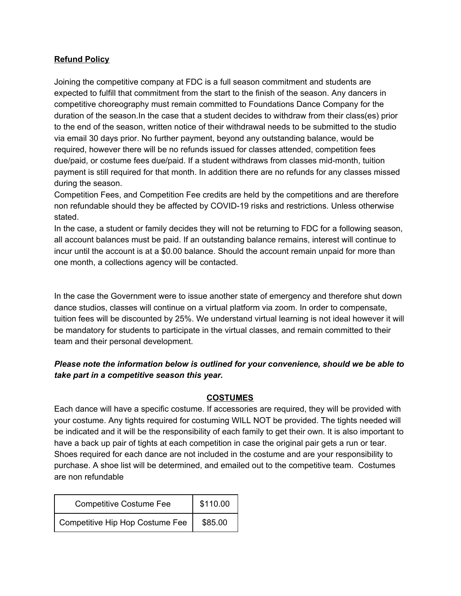### **Refund Policy**

Joining the competitive company at FDC is a full season commitment and students are expected to fulfill that commitment from the start to the finish of the season. Any dancers in competitive choreography must remain committed to Foundations Dance Company for the duration of the season.In the case that a student decides to withdraw from their class(es) prior to the end of the season, written notice of their withdrawal needs to be submitted to the studio via email 30 days prior. No further payment, beyond any outstanding balance, would be required, however there will be no refunds issued for classes attended, competition fees due/paid, or costume fees due/paid. If a student withdraws from classes mid-month, tuition payment is still required for that month. In addition there are no refunds for any classes missed during the season.

Competition Fees, and Competition Fee credits are held by the competitions and are therefore non refundable should they be affected by COVID-19 risks and restrictions. Unless otherwise stated.

In the case, a student or family decides they will not be returning to FDC for a following season, all account balances must be paid. If an outstanding balance remains, interest will continue to incur until the account is at a \$0.00 balance. Should the account remain unpaid for more than one month, a collections agency will be contacted.

In the case the Government were to issue another state of emergency and therefore shut down dance studios, classes will continue on a virtual platform via zoom. In order to compensate, tuition fees will be discounted by 25%. We understand virtual learning is not ideal however it will be mandatory for students to participate in the virtual classes, and remain committed to their team and their personal development.

## *Please note the information below is outlined for your convenience, should we be able to take part in a competitive season this year.*

#### **COSTUMES**

Each dance will have a specific costume. If accessories are required, they will be provided with your costume. Any tights required for costuming WILL NOT be provided. The tights needed will be indicated and it will be the responsibility of each family to get their own. It is also important to have a back up pair of tights at each competition in case the original pair gets a run or tear. Shoes required for each dance are not included in the costume and are your responsibility to purchase. A shoe list will be determined, and emailed out to the competitive team. Costumes are non refundable

| <b>Competitive Costume Fee</b>  | \$110.00 |
|---------------------------------|----------|
| Competitive Hip Hop Costume Fee | \$85.00  |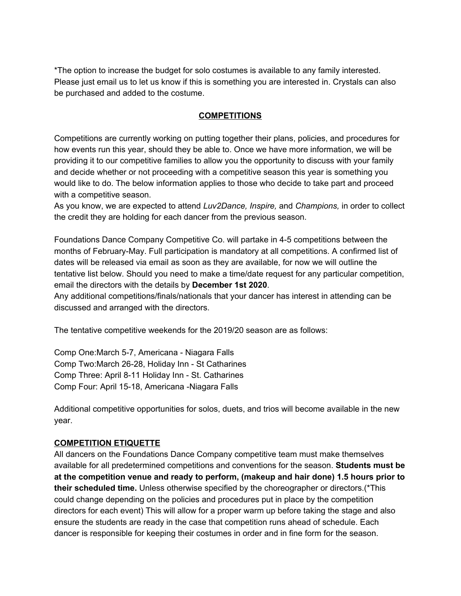\*The option to increase the budget for solo costumes is available to any family interested. Please just email us to let us know if this is something you are interested in. Crystals can also be purchased and added to the costume.

#### **COMPETITIONS**

Competitions are currently working on putting together their plans, policies, and procedures for how events run this year, should they be able to. Once we have more information, we will be providing it to our competitive families to allow you the opportunity to discuss with your family and decide whether or not proceeding with a competitive season this year is something you would like to do. The below information applies to those who decide to take part and proceed with a competitive season.

As you know, we are expected to attend *Luv2Dance, Inspire,* and *Champions,* in order to collect the credit they are holding for each dancer from the previous season.

Foundations Dance Company Competitive Co. will partake in 4-5 competitions between the months of February-May. Full participation is mandatory at all competitions. A confirmed list of dates will be released via email as soon as they are available, for now we will outline the tentative list below. Should you need to make a time/date request for any particular competition, email the directors with the details by **December 1st 2020**.

Any additional competitions/finals/nationals that your dancer has interest in attending can be discussed and arranged with the directors.

The tentative competitive weekends for the 2019/20 season are as follows:

Comp One:March 5-7, Americana - Niagara Falls Comp Two:March 26-28, Holiday Inn - St Catharines Comp Three: April 8-11 Holiday Inn - St. Catharines Comp Four: April 15-18, Americana -Niagara Falls

Additional competitive opportunities for solos, duets, and trios will become available in the new year.

#### **COMPETITION ETIQUETTE**

All dancers on the Foundations Dance Company competitive team must make themselves available for all predetermined competitions and conventions for the season. **Students must be at the competition venue and ready to perform, (makeup and hair done) 1.5 hours prior to their scheduled time.** Unless otherwise specified by the choreographer or directors.(\*This could change depending on the policies and procedures put in place by the competition directors for each event) This will allow for a proper warm up before taking the stage and also ensure the students are ready in the case that competition runs ahead of schedule. Each dancer is responsible for keeping their costumes in order and in fine form for the season.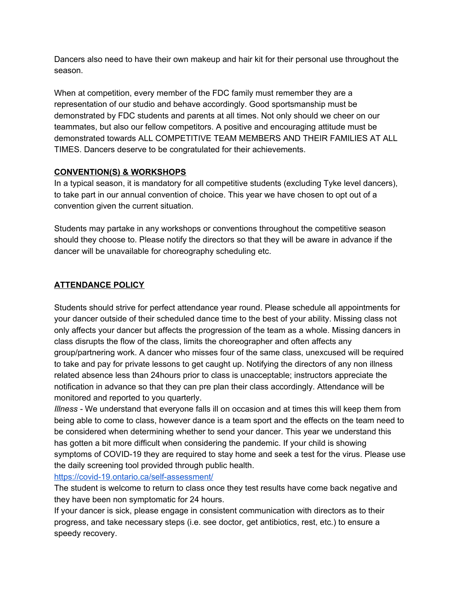Dancers also need to have their own makeup and hair kit for their personal use throughout the season.

When at competition, every member of the FDC family must remember they are a representation of our studio and behave accordingly. Good sportsmanship must be demonstrated by FDC students and parents at all times. Not only should we cheer on our teammates, but also our fellow competitors. A positive and encouraging attitude must be demonstrated towards ALL COMPETITIVE TEAM MEMBERS AND THEIR FAMILIES AT ALL TIMES. Dancers deserve to be congratulated for their achievements.

### **CONVENTION(S) & WORKSHOPS**

In a typical season, it is mandatory for all competitive students (excluding Tyke level dancers), to take part in our annual convention of choice. This year we have chosen to opt out of a convention given the current situation.

Students may partake in any workshops or conventions throughout the competitive season should they choose to. Please notify the directors so that they will be aware in advance if the dancer will be unavailable for choreography scheduling etc.

# **ATTENDANCE POLICY**

Students should strive for perfect attendance year round. Please schedule all appointments for your dancer outside of their scheduled dance time to the best of your ability. Missing class not only affects your dancer but affects the progression of the team as a whole. Missing dancers in class disrupts the flow of the class, limits the choreographer and often affects any group/partnering work. A dancer who misses four of the same class, unexcused will be required to take and pay for private lessons to get caught up. Notifying the directors of any non illness related absence less than 24hours prior to class is unacceptable; instructors appreciate the notification in advance so that they can pre plan their class accordingly. Attendance will be monitored and reported to you quarterly.

*Illness -* We understand that everyone falls ill on occasion and at times this will keep them from being able to come to class, however dance is a team sport and the effects on the team need to be considered when determining whether to send your dancer. This year we understand this has gotten a bit more difficult when considering the pandemic. If your child is showing symptoms of COVID-19 they are required to stay home and seek a test for the virus. Please use the daily screening tool provided through public health.

### <https://covid-19.ontario.ca/self-assessment/>

The student is welcome to return to class once they test results have come back negative and they have been non symptomatic for 24 hours.

If your dancer is sick, please engage in consistent communication with directors as to their progress, and take necessary steps (i.e. see doctor, get antibiotics, rest, etc.) to ensure a speedy recovery.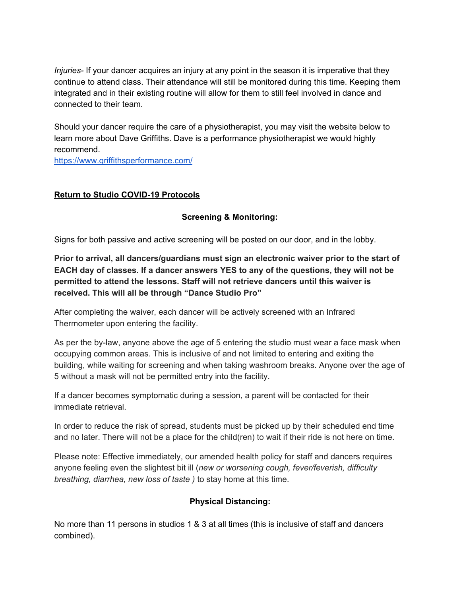*Injuries-* If your dancer acquires an injury at any point in the season it is imperative that they continue to attend class. Their attendance will still be monitored during this time. Keeping them integrated and in their existing routine will allow for them to still feel involved in dance and connected to their team.

Should your dancer require the care of a physiotherapist, you may visit the website below to learn more about Dave Griffiths. Dave is a performance physiotherapist we would highly recommend.

<https://www.griffithsperformance.com/>

## **Return to Studio COVID-19 Protocols**

## **Screening & Monitoring:**

Signs for both passive and active screening will be posted on our door, and in the lobby.

**Prior to arrival, all dancers/guardians must sign an electronic waiver prior to the start of EACH day of classes. If a dancer answers YES to any of the questions, they will not be permitted to attend the lessons. Staff will not retrieve dancers until this waiver is received. This will all be through "Dance Studio Pro"**

After completing the waiver, each dancer will be actively screened with an Infrared Thermometer upon entering the facility.

As per the by-law, anyone above the age of 5 entering the studio must wear a face mask when occupying common areas. This is inclusive of and not limited to entering and exiting the building, while waiting for screening and when taking washroom breaks. Anyone over the age of 5 without a mask will not be permitted entry into the facility.

If a dancer becomes symptomatic during a session, a parent will be contacted for their immediate retrieval.

In order to reduce the risk of spread, students must be picked up by their scheduled end time and no later. There will not be a place for the child(ren) to wait if their ride is not here on time.

Please note: Effective immediately, our amended health policy for staff and dancers requires anyone feeling even the slightest bit ill (*new or worsening cough, fever/feverish, difficulty breathing, diarrhea, new loss of taste )* to stay home at this time.

### **Physical Distancing:**

No more than 11 persons in studios 1 & 3 at all times (this is inclusive of staff and dancers combined).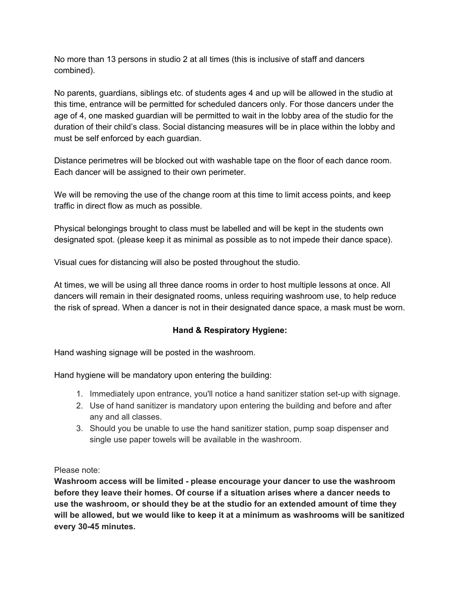No more than 13 persons in studio 2 at all times (this is inclusive of staff and dancers combined).

No parents, guardians, siblings etc. of students ages 4 and up will be allowed in the studio at this time, entrance will be permitted for scheduled dancers only. For those dancers under the age of 4, one masked guardian will be permitted to wait in the lobby area of the studio for the duration of their child's class. Social distancing measures will be in place within the lobby and must be self enforced by each guardian.

Distance perimetres will be blocked out with washable tape on the floor of each dance room. Each dancer will be assigned to their own perimeter.

We will be removing the use of the change room at this time to limit access points, and keep traffic in direct flow as much as possible.

Physical belongings brought to class must be labelled and will be kept in the students own designated spot. (please keep it as minimal as possible as to not impede their dance space).

Visual cues for distancing will also be posted throughout the studio.

At times, we will be using all three dance rooms in order to host multiple lessons at once. All dancers will remain in their designated rooms, unless requiring washroom use, to help reduce the risk of spread. When a dancer is not in their designated dance space, a mask must be worn.

### **Hand & Respiratory Hygiene:**

Hand washing signage will be posted in the washroom.

Hand hygiene will be mandatory upon entering the building:

- 1. Immediately upon entrance, you'll notice a hand sanitizer station set-up with signage.
- 2. Use of hand sanitizer is mandatory upon entering the building and before and after any and all classes.
- 3. Should you be unable to use the hand sanitizer station, pump soap dispenser and single use paper towels will be available in the washroom.

Please note:

**Washroom access will be limited - please encourage your dancer to use the washroom before they leave their homes. Of course if a situation arises where a dancer needs to use the washroom, or should they be at the studio for an extended amount of time they will be allowed, but we would like to keep it at a minimum as washrooms will be sanitized every 30-45 minutes.**